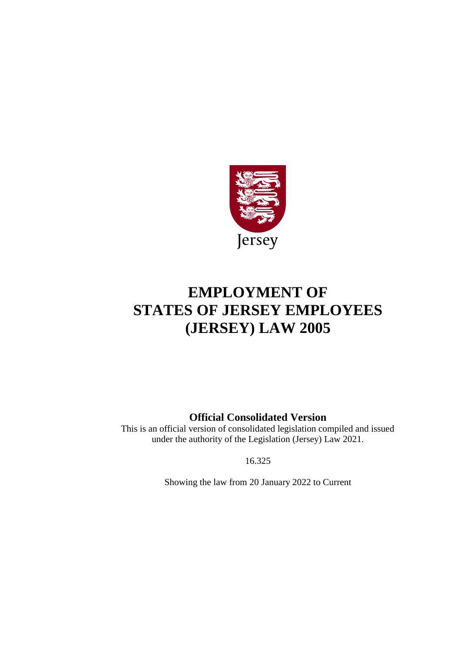

# **EMPLOYMENT OF STATES OF JERSEY EMPLOYEES (JERSEY) LAW 2005**

# **Official Consolidated Version**

This is an official version of consolidated legislation compiled and issued under the authority of the Legislation (Jersey) Law 2021.

16.325

Showing the law from 20 January 2022 to Current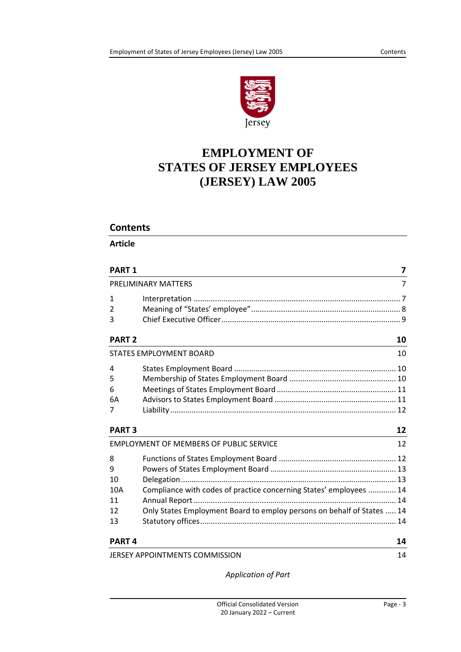

# **EMPLOYMENT OF STATES OF JERSEY EMPLOYEES (JERSEY) LAW 2005**

# **Contents**

**Article**

| <b>PART 1</b> |                                                                        | 7  |
|---------------|------------------------------------------------------------------------|----|
|               | PRELIMINARY MATTERS                                                    | 7  |
| $\mathbf{1}$  |                                                                        |    |
| 2             |                                                                        |    |
| 3             |                                                                        |    |
| <b>PART 2</b> |                                                                        | 10 |
|               | <b>STATES EMPLOYMENT BOARD</b>                                         | 10 |
| 4             |                                                                        |    |
| 5             |                                                                        |    |
| 6             |                                                                        |    |
| 6A            |                                                                        |    |
| 7             |                                                                        |    |
| <b>PART 3</b> |                                                                        | 12 |
|               | <b>EMPLOYMENT OF MEMBERS OF PUBLIC SERVICE</b>                         | 12 |
| 8             |                                                                        |    |
| 9             |                                                                        |    |
| 10            |                                                                        |    |
| 10A           | Compliance with codes of practice concerning States' employees  14     |    |
| 11            |                                                                        |    |
| 12            | Only States Employment Board to employ persons on behalf of States  14 |    |
| 13            |                                                                        |    |
| <b>PART4</b>  |                                                                        | 14 |
|               | JERSEY APPOINTMENTS COMMISSION                                         | 14 |

*[Application of Part](#page-13-6)*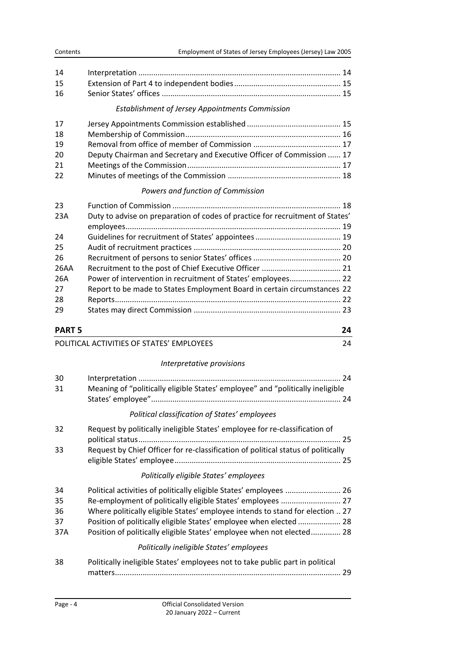| 16 |  |
|----|--|

#### *[Establishment of Jersey Appointments Commission](#page-14-2)*

| 17 |                                                                       |  |
|----|-----------------------------------------------------------------------|--|
| 18 |                                                                       |  |
| 19 |                                                                       |  |
| 20 | Deputy Chairman and Secretary and Executive Officer of Commission  17 |  |
| 21 |                                                                       |  |
| 22 |                                                                       |  |

# *[Powers and function of Commission](#page-17-1)*

| 23   |                                                                               |
|------|-------------------------------------------------------------------------------|
| 23A  | Duty to advise on preparation of codes of practice for recruitment of States' |
|      |                                                                               |
| 24   |                                                                               |
| 25   |                                                                               |
| 26   |                                                                               |
| 26AA |                                                                               |
| 26A  | Power of intervention in recruitment of States' employees 22                  |
| 27   | Report to be made to States Employment Board in certain circumstances 22      |
| 28   |                                                                               |
| 29   |                                                                               |

# **[PART 5](#page-23-0) 24**

# POLITICAL ACTIVITIES [OF STATES' EMPLOYEES](#page-23-1) **24**

# *[Interpretative provisions](#page-23-2)*

| 30<br>31                    | Meaning of "politically eligible States' employee" and "politically ineligible                                                                                                                                                                                                                                                                                    |    |
|-----------------------------|-------------------------------------------------------------------------------------------------------------------------------------------------------------------------------------------------------------------------------------------------------------------------------------------------------------------------------------------------------------------|----|
|                             | Political classification of States' employees                                                                                                                                                                                                                                                                                                                     |    |
| 32<br>33                    | Request by politically ineligible States' employee for re-classification of<br>Request by Chief Officer for re-classification of political status of politically                                                                                                                                                                                                  | 25 |
|                             | Politically eligible States' employees                                                                                                                                                                                                                                                                                                                            |    |
| 34<br>35<br>36<br>37<br>37A | Political activities of politically eligible States' employees  26<br>Re-employment of politically eligible States' employees  27<br>Where politically eligible States' employee intends to stand for election  27<br>Position of politically eligible States' employee when elected  28<br>Position of politically eligible States' employee when not elected 28 |    |
|                             | Politically ineligible States' employees                                                                                                                                                                                                                                                                                                                          |    |
| 38                          | Politically ineligible States' employees not to take public part in political                                                                                                                                                                                                                                                                                     | 29 |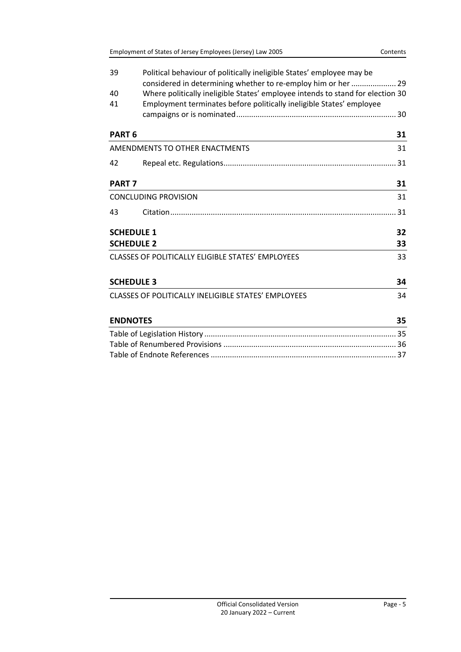| 39                | Political behaviour of politically ineligible States' employee may be                                                                                  |    |
|-------------------|--------------------------------------------------------------------------------------------------------------------------------------------------------|----|
|                   | considered in determining whether to re-employ him or her  29                                                                                          |    |
| 40<br>41          | Where politically ineligible States' employee intends to stand for election 30<br>Employment terminates before politically ineligible States' employee |    |
|                   |                                                                                                                                                        |    |
| PART <sub>6</sub> |                                                                                                                                                        | 31 |
|                   | AMENDMENTS TO OTHER ENACTMENTS                                                                                                                         | 31 |
| 42                |                                                                                                                                                        |    |
| <b>PART 7</b>     |                                                                                                                                                        | 31 |
|                   | <b>CONCLUDING PROVISION</b>                                                                                                                            | 31 |
| 43                |                                                                                                                                                        |    |
|                   | <b>SCHEDULE 1</b>                                                                                                                                      | 32 |
|                   | <b>SCHEDULE 2</b>                                                                                                                                      | 33 |
|                   | <b>CLASSES OF POLITICALLY ELIGIBLE STATES' EMPLOYEES</b>                                                                                               | 33 |
|                   | <b>SCHEDULE 3</b>                                                                                                                                      | 34 |
|                   | <b>CLASSES OF POLITICALLY INELIGIBLE STATES' EMPLOYEES</b>                                                                                             | 34 |
| <b>ENDNOTES</b>   |                                                                                                                                                        | 35 |
|                   |                                                                                                                                                        |    |
|                   |                                                                                                                                                        |    |
|                   |                                                                                                                                                        |    |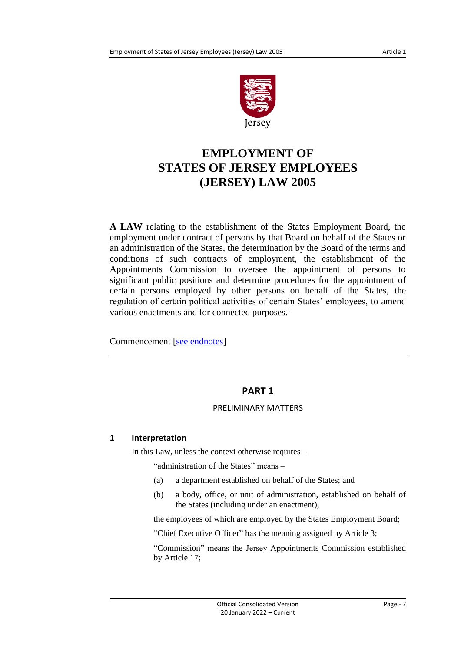

# **EMPLOYMENT OF STATES OF JERSEY EMPLOYEES (JERSEY) LAW 2005**

**A LAW** relating to the establishment of the States Employment Board, the employment under contract of persons by that Board on behalf of the States or an administration of the States, the determination by the Board of the terms and conditions of such contracts of employment, the establishment of the Appointments Commission to oversee the appointment of persons to significant public positions and determine procedures for the appointment of certain persons employed by other persons on behalf of the States, the regulation of certain political activities of certain States' employees, to amend various enactments and for connected purposes.<sup>1</sup>

<span id="page-6-0"></span>Commencement [\[see endnotes\]](#page-34-2)

# **PART 1**

# PRELIMINARY MATTERS

# <span id="page-6-2"></span><span id="page-6-1"></span>**1 Interpretation**

In this Law, unless the context otherwise requires –

"administration of the States" means –

- (a) a department established on behalf of the States; and
- (b) a body, office, or unit of administration, established on behalf of the States (including under an enactment),

the employees of which are employed by the States Employment Board;

"Chief Executive Officer" has the meaning assigned by Article 3;

"Commission" means the Jersey Appointments Commission established by Article 17;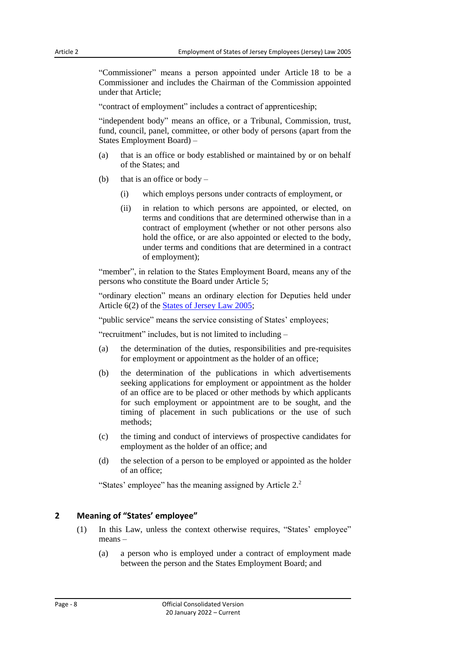"Commissioner" means a person appointed under Article 18 to be a Commissioner and includes the Chairman of the Commission appointed under that Article;

"contract of employment" includes a contract of apprenticeship;

"independent body" means an office, or a Tribunal, Commission, trust, fund, council, panel, committee, or other body of persons (apart from the States Employment Board) –

- (a) that is an office or body established or maintained by or on behalf of the States; and
- (b) that is an office or body
	- (i) which employs persons under contracts of employment, or
	- (ii) in relation to which persons are appointed, or elected, on terms and conditions that are determined otherwise than in a contract of employment (whether or not other persons also hold the office, or are also appointed or elected to the body, under terms and conditions that are determined in a contract of employment);

"member", in relation to the States Employment Board, means any of the persons who constitute the Board under Article 5;

"ordinary election" means an ordinary election for Deputies held under Article 6(2) of the [States of Jersey Law](https://www.jerseylaw.je/laws/current/Pages/16.800.aspx) 2005;

"public service" means the service consisting of States' employees;

"recruitment" includes, but is not limited to including –

- (a) the determination of the duties, responsibilities and pre-requisites for employment or appointment as the holder of an office;
- (b) the determination of the publications in which advertisements seeking applications for employment or appointment as the holder of an office are to be placed or other methods by which applicants for such employment or appointment are to be sought, and the timing of placement in such publications or the use of such methods;
- (c) the timing and conduct of interviews of prospective candidates for employment as the holder of an office; and
- (d) the selection of a person to be employed or appointed as the holder of an office;

"States' employee" has the meaning assigned by Article 2.<sup>2</sup>

#### <span id="page-7-0"></span>**2 Meaning of "States' employee"**

- (1) In this Law, unless the context otherwise requires, "States' employee" means –
	- (a) a person who is employed under a contract of employment made between the person and the States Employment Board; and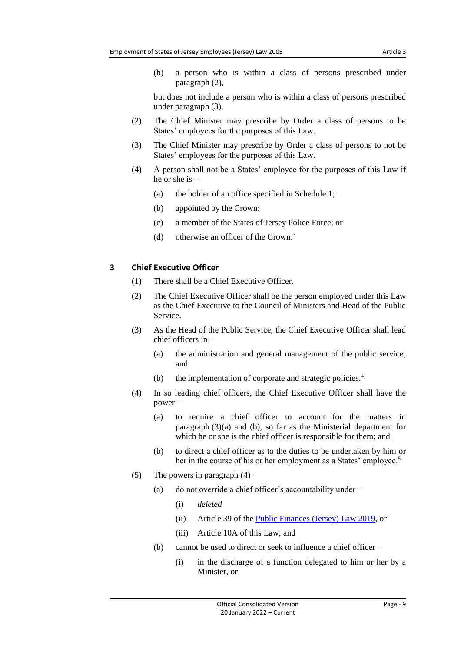(b) a person who is within a class of persons prescribed under paragraph (2),

but does not include a person who is within a class of persons prescribed under paragraph (3).

- (2) The Chief Minister may prescribe by Order a class of persons to be States' employees for the purposes of this Law.
- (3) The Chief Minister may prescribe by Order a class of persons to not be States' employees for the purposes of this Law.
- (4) A person shall not be a States' employee for the purposes of this Law if he or she is –
	- (a) the holder of an office specified in Schedule 1;
	- (b) appointed by the Crown;
	- (c) a member of the States of Jersey Police Force; or
	- (d) otherwise an officer of the Crown. 3

# <span id="page-8-0"></span>**3 Chief Executive Officer**

- (1) There shall be a Chief Executive Officer.
- (2) The Chief Executive Officer shall be the person employed under this Law as the Chief Executive to the Council of Ministers and Head of the Public Service.
- (3) As the Head of the Public Service, the Chief Executive Officer shall lead chief officers in –
	- (a) the administration and general management of the public service; and
	- (b) the implementation of corporate and strategic policies.<sup>4</sup>
- (4) In so leading chief officers, the Chief Executive Officer shall have the power –
	- (a) to require a chief officer to account for the matters in paragraph (3)(a) and (b), so far as the Ministerial department for which he or she is the chief officer is responsible for them; and
	- (b) to direct a chief officer as to the duties to be undertaken by him or her in the course of his or her employment as a States' employee.<sup>5</sup>
- (5) The powers in paragraph  $(4)$ 
	- (a) do not override a chief officer's accountability under
		- (i) *deleted*
		- (ii) Article 39 of the [Public Finances \(Jersey\) Law](https://www.jerseylaw.je/laws/current/Pages/24.900.aspx) 2019, or
		- (iii) Article 10A of this Law; and
	- (b) cannot be used to direct or seek to influence a chief officer
		- (i) in the discharge of a function delegated to him or her by a Minister, or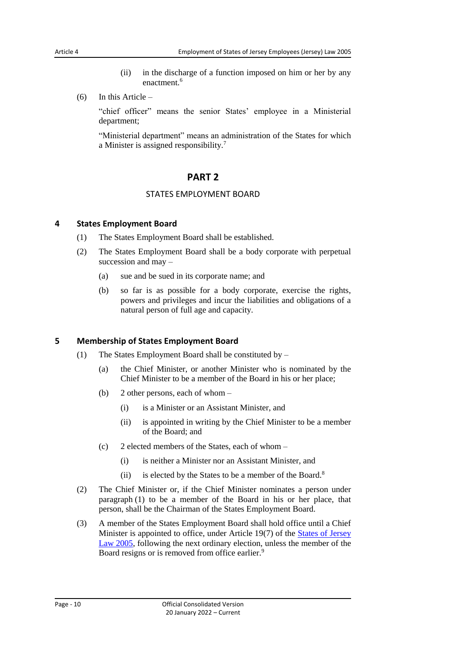- (ii) in the discharge of a function imposed on him or her by any enactment<sup>6</sup>
- (6) In this Article –

"chief officer" means the senior States' employee in a Ministerial department;

<span id="page-9-0"></span>"Ministerial department" means an administration of the States for which a Minister is assigned responsibility.<sup>7</sup>

# **PART 2**

# STATES EMPLOYMENT BOARD

#### <span id="page-9-2"></span><span id="page-9-1"></span>**4 States Employment Board**

- (1) The States Employment Board shall be established.
- (2) The States Employment Board shall be a body corporate with perpetual succession and may –
	- (a) sue and be sued in its corporate name; and
	- (b) so far is as possible for a body corporate, exercise the rights, powers and privileges and incur the liabilities and obligations of a natural person of full age and capacity.

# <span id="page-9-3"></span>**5 Membership of States Employment Board**

- (1) The States Employment Board shall be constituted by
	- (a) the Chief Minister, or another Minister who is nominated by the Chief Minister to be a member of the Board in his or her place;
	- (b) 2 other persons, each of whom
		- (i) is a Minister or an Assistant Minister, and
		- (ii) is appointed in writing by the Chief Minister to be a member of the Board; and
	- (c) 2 elected members of the States, each of whom
		- (i) is neither a Minister nor an Assistant Minister, and
		- (ii) is elected by the States to be a member of the Board.<sup>8</sup>
- (2) The Chief Minister or, if the Chief Minister nominates a person under paragraph (1) to be a member of the Board in his or her place, that person, shall be the Chairman of the States Employment Board.
- (3) A member of the States Employment Board shall hold office until a Chief Minister is appointed to office, under Article 19(7) of the [States of Jersey](https://www.jerseylaw.je/laws/current/Pages/16.800.aspx)  Law [2005,](https://www.jerseylaw.je/laws/current/Pages/16.800.aspx) following the next ordinary election, unless the member of the Board resigns or is removed from office earlier.<sup>9</sup>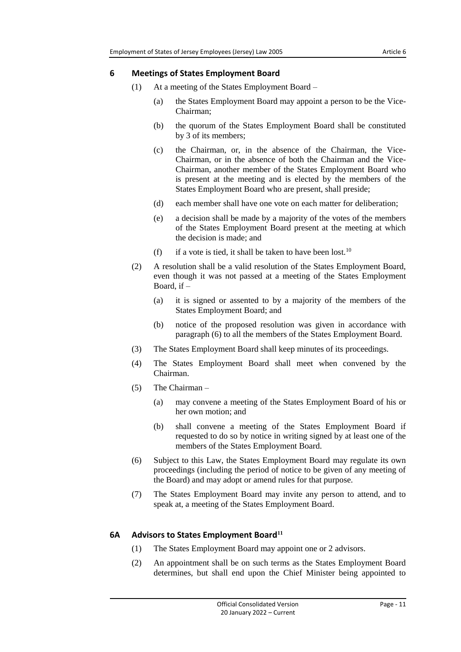#### <span id="page-10-0"></span>**6 Meetings of States Employment Board**

- (1) At a meeting of the States Employment Board
	- (a) the States Employment Board may appoint a person to be the Vice-Chairman;
	- (b) the quorum of the States Employment Board shall be constituted by 3 of its members;
	- (c) the Chairman, or, in the absence of the Chairman, the Vice-Chairman, or in the absence of both the Chairman and the Vice-Chairman, another member of the States Employment Board who is present at the meeting and is elected by the members of the States Employment Board who are present, shall preside;
	- (d) each member shall have one vote on each matter for deliberation;
	- (e) a decision shall be made by a majority of the votes of the members of the States Employment Board present at the meeting at which the decision is made; and
	- (f) if a vote is tied, it shall be taken to have been lost.<sup>10</sup>
- (2) A resolution shall be a valid resolution of the States Employment Board, even though it was not passed at a meeting of the States Employment Board, if  $-$ 
	- (a) it is signed or assented to by a majority of the members of the States Employment Board; and
	- (b) notice of the proposed resolution was given in accordance with paragraph (6) to all the members of the States Employment Board.
- (3) The States Employment Board shall keep minutes of its proceedings.
- (4) The States Employment Board shall meet when convened by the Chairman.
- (5) The Chairman
	- (a) may convene a meeting of the States Employment Board of his or her own motion; and
	- (b) shall convene a meeting of the States Employment Board if requested to do so by notice in writing signed by at least one of the members of the States Employment Board.
- (6) Subject to this Law, the States Employment Board may regulate its own proceedings (including the period of notice to be given of any meeting of the Board) and may adopt or amend rules for that purpose.
- (7) The States Employment Board may invite any person to attend, and to speak at, a meeting of the States Employment Board.

# <span id="page-10-1"></span>**6A Advisors to States Employment Board<sup>11</sup>**

- (1) The States Employment Board may appoint one or 2 advisors.
- (2) An appointment shall be on such terms as the States Employment Board determines, but shall end upon the Chief Minister being appointed to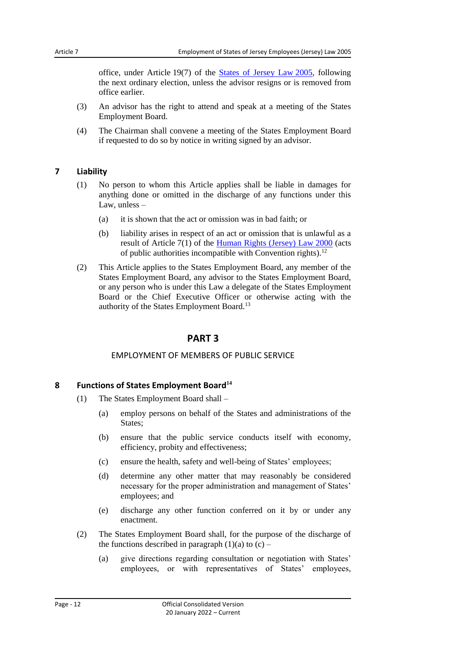office, under Article 19(7) of the [States of Jersey Law](https://www.jerseylaw.je/laws/current/Pages/16.800.aspx) 2005, following the next ordinary election, unless the advisor resigns or is removed from office earlier.

- (3) An advisor has the right to attend and speak at a meeting of the States Employment Board.
- (4) The Chairman shall convene a meeting of the States Employment Board if requested to do so by notice in writing signed by an advisor.

# <span id="page-11-0"></span>**7 Liability**

- (1) No person to whom this Article applies shall be liable in damages for anything done or omitted in the discharge of any functions under this Law, unless –
	- (a) it is shown that the act or omission was in bad faith; or
	- (b) liability arises in respect of an act or omission that is unlawful as a result of Article 7(1) of the [Human Rights \(Jersey\) Law](https://www.jerseylaw.je/laws/current/Pages/15.350.aspx) 2000 (acts of public authorities incompatible with Convention rights).<sup>12</sup>
- <span id="page-11-1"></span>(2) This Article applies to the States Employment Board, any member of the States Employment Board, any advisor to the States Employment Board, or any person who is under this Law a delegate of the States Employment Board or the Chief Executive Officer or otherwise acting with the authority of the States Employment Board.<sup>13</sup>

# **PART 3**

# EMPLOYMENT OF MEMBERS OF PUBLIC SERVICE

# <span id="page-11-3"></span><span id="page-11-2"></span>**8 Functions of States Employment Board<sup>14</sup>**

- (1) The States Employment Board shall
	- (a) employ persons on behalf of the States and administrations of the States:
	- (b) ensure that the public service conducts itself with economy, efficiency, probity and effectiveness;
	- (c) ensure the health, safety and well-being of States' employees;
	- (d) determine any other matter that may reasonably be considered necessary for the proper administration and management of States' employees; and
	- (e) discharge any other function conferred on it by or under any enactment.
- (2) The States Employment Board shall, for the purpose of the discharge of the functions described in paragraph  $(1)(a)$  to  $(c)$  –
	- (a) give directions regarding consultation or negotiation with States' employees, or with representatives of States' employees,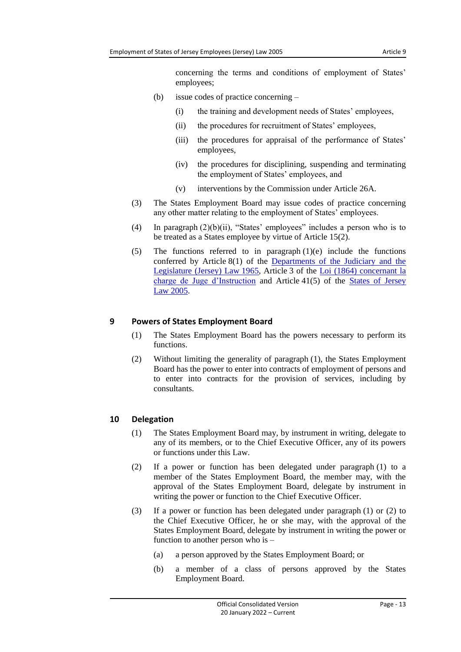concerning the terms and conditions of employment of States' employees;

- (b) issue codes of practice concerning
	- (i) the training and development needs of States' employees,
	- (ii) the procedures for recruitment of States' employees,
	- (iii) the procedures for appraisal of the performance of States' employees,
	- (iv) the procedures for disciplining, suspending and terminating the employment of States' employees, and
	- (v) interventions by the Commission under Article 26A.
- (3) The States Employment Board may issue codes of practice concerning any other matter relating to the employment of States' employees.
- (4) In paragraph (2)(b)(ii), "States' employees" includes a person who is to be treated as a States employee by virtue of Article 15(2).
- (5) The functions referred to in paragraph  $(1)(e)$  include the functions conferred by Article 8(1) of the Departments of the Judiciary and the [Legislature \(Jersey\) Law](https://www.jerseylaw.je/laws/current/Pages/16.300.aspx) 1965, Article 3 of the [Loi \(1864\) concernant la](https://www.jerseylaw.je/laws/current/Pages/07.525.aspx)  [charge de Juge d'Instruction](https://www.jerseylaw.je/laws/current/Pages/07.525.aspx) and Article 41(5) of the [States of Jersey](https://www.jerseylaw.je/laws/current/Pages/16.800.aspx)  Law [2005.](https://www.jerseylaw.je/laws/current/Pages/16.800.aspx)

# <span id="page-12-0"></span>**9 Powers of States Employment Board**

- (1) The States Employment Board has the powers necessary to perform its functions.
- (2) Without limiting the generality of paragraph (1), the States Employment Board has the power to enter into contracts of employment of persons and to enter into contracts for the provision of services, including by consultants.

# <span id="page-12-1"></span>**10 Delegation**

- (1) The States Employment Board may, by instrument in writing, delegate to any of its members, or to the Chief Executive Officer, any of its powers or functions under this Law.
- (2) If a power or function has been delegated under paragraph (1) to a member of the States Employment Board, the member may, with the approval of the States Employment Board, delegate by instrument in writing the power or function to the Chief Executive Officer.
- (3) If a power or function has been delegated under paragraph (1) or (2) to the Chief Executive Officer, he or she may, with the approval of the States Employment Board, delegate by instrument in writing the power or function to another person who is –
	- (a) a person approved by the States Employment Board; or
	- (b) a member of a class of persons approved by the States Employment Board.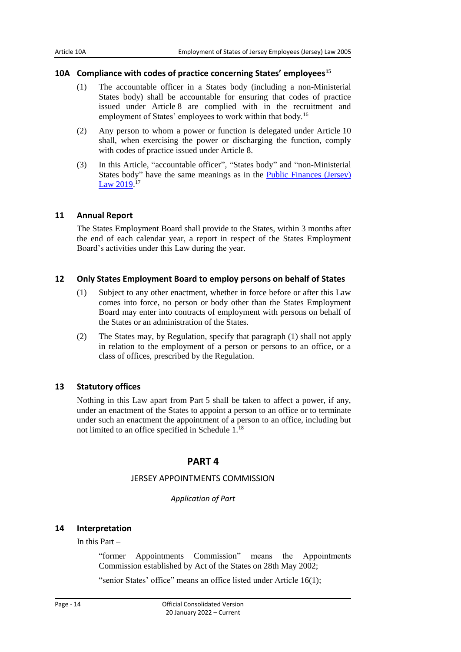#### <span id="page-13-0"></span>**10A Compliance with codes of practice concerning States' employees<sup>15</sup>**

- (1) The accountable officer in a States body (including a non-Ministerial States body) shall be accountable for ensuring that codes of practice issued under Article 8 are complied with in the recruitment and employment of States' employees to work within that body.<sup>16</sup>
- (2) Any person to whom a power or function is delegated under Article 10 shall, when exercising the power or discharging the function, comply with codes of practice issued under Article 8.
- (3) In this Article, "accountable officer", "States body" and "non-Ministerial States body" have the same meanings as in the [Public Finances \(Jersey\)](https://www.jerseylaw.je/laws/current/Pages/24.900.aspx)  Law [2019.](https://www.jerseylaw.je/laws/current/Pages/24.900.aspx)<sup>17</sup>

#### <span id="page-13-1"></span>**11 Annual Report**

The States Employment Board shall provide to the States, within 3 months after the end of each calendar year, a report in respect of the States Employment Board's activities under this Law during the year.

#### <span id="page-13-2"></span>**12 Only States Employment Board to employ persons on behalf of States**

- (1) Subject to any other enactment, whether in force before or after this Law comes into force, no person or body other than the States Employment Board may enter into contracts of employment with persons on behalf of the States or an administration of the States.
- (2) The States may, by Regulation, specify that paragraph (1) shall not apply in relation to the employment of a person or persons to an office, or a class of offices, prescribed by the Regulation.

# <span id="page-13-3"></span>**13 Statutory offices**

<span id="page-13-4"></span>Nothing in this Law apart from Part 5 shall be taken to affect a power, if any, under an enactment of the States to appoint a person to an office or to terminate under such an enactment the appointment of a person to an office, including but not limited to an office specified in Schedule 1.<sup>18</sup>

# **PART 4**

#### JERSEY APPOINTMENTS COMMISSION

#### *Application of Part*

# <span id="page-13-7"></span><span id="page-13-6"></span><span id="page-13-5"></span>**14 Interpretation**

In this Part –

"former Appointments Commission" means the Appointments Commission established by Act of the States on 28th May 2002;

"senior States' office" means an office listed under Article 16(1);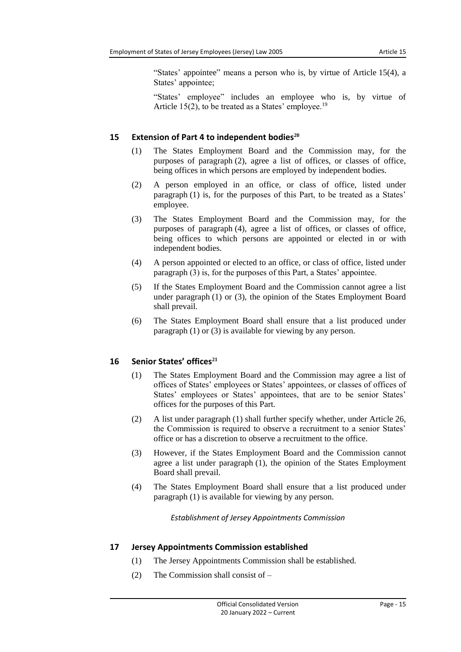"States' appointee" means a person who is, by virtue of Article 15(4), a States' appointee;

"States' employee" includes an employee who is, by virtue of Article 15(2), to be treated as a States' employee.<sup>19</sup>

# <span id="page-14-0"></span>**15 Extension of Part 4 to independent bodies<sup>20</sup>**

- (1) The States Employment Board and the Commission may, for the purposes of paragraph (2), agree a list of offices, or classes of office, being offices in which persons are employed by independent bodies.
- (2) A person employed in an office, or class of office, listed under paragraph (1) is, for the purposes of this Part, to be treated as a States' employee.
- (3) The States Employment Board and the Commission may, for the purposes of paragraph (4), agree a list of offices, or classes of office, being offices to which persons are appointed or elected in or with independent bodies.
- (4) A person appointed or elected to an office, or class of office, listed under paragraph (3) is, for the purposes of this Part, a States' appointee.
- (5) If the States Employment Board and the Commission cannot agree a list under paragraph (1) or (3), the opinion of the States Employment Board shall prevail.
- (6) The States Employment Board shall ensure that a list produced under paragraph (1) or (3) is available for viewing by any person.

# <span id="page-14-1"></span>**16 Senior States' offices<sup>21</sup>**

- (1) The States Employment Board and the Commission may agree a list of offices of States' employees or States' appointees, or classes of offices of States' employees or States' appointees, that are to be senior States' offices for the purposes of this Part.
- (2) A list under paragraph (1) shall further specify whether, under Article 26, the Commission is required to observe a recruitment to a senior States' office or has a discretion to observe a recruitment to the office.
- (3) However, if the States Employment Board and the Commission cannot agree a list under paragraph (1), the opinion of the States Employment Board shall prevail.
- <span id="page-14-2"></span>(4) The States Employment Board shall ensure that a list produced under paragraph (1) is available for viewing by any person.

*Establishment of Jersey Appointments Commission*

# <span id="page-14-3"></span>**17 Jersey Appointments Commission established**

- (1) The Jersey Appointments Commission shall be established.
- (2) The Commission shall consist of –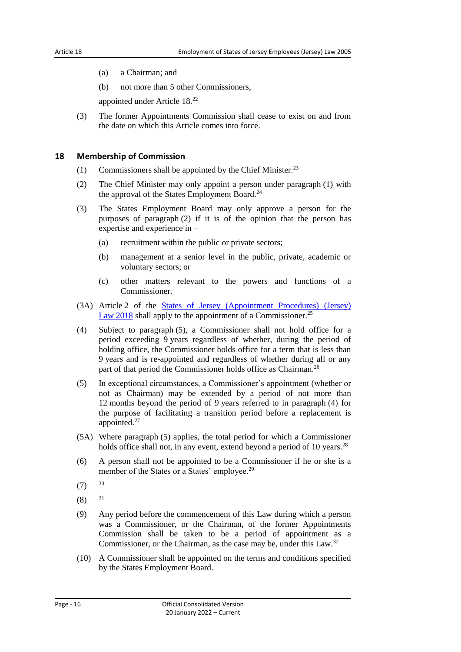- (a) a Chairman; and
- (b) not more than 5 other Commissioners,

appointed under Article 18. 22

(3) The former Appointments Commission shall cease to exist on and from the date on which this Article comes into force.

#### <span id="page-15-0"></span>**18 Membership of Commission**

- (1) Commissioners shall be appointed by the Chief Minister.<sup>23</sup>
- (2) The Chief Minister may only appoint a person under paragraph (1) with the approval of the States Employment Board.<sup>24</sup>
- (3) The States Employment Board may only approve a person for the purposes of paragraph (2) if it is of the opinion that the person has expertise and experience in –
	- (a) recruitment within the public or private sectors;
	- (b) management at a senior level in the public, private, academic or voluntary sectors; or
	- (c) other matters relevant to the powers and functions of a Commissioner.
- (3A) Article 2 of the [States of Jersey \(Appointment Procedures\) \(Jersey\)](https://www.jerseylaw.je/laws/current/Pages/16.810.aspx)  Law [2018](https://www.jerseylaw.je/laws/current/Pages/16.810.aspx) shall apply to the appointment of a Commissioner.<sup>25</sup>
- (4) Subject to paragraph (5), a Commissioner shall not hold office for a period exceeding 9 years regardless of whether, during the period of holding office, the Commissioner holds office for a term that is less than 9 years and is re-appointed and regardless of whether during all or any part of that period the Commissioner holds office as Chairman.<sup>26</sup>
- (5) In exceptional circumstances, a Commissioner's appointment (whether or not as Chairman) may be extended by a period of not more than 12 months beyond the period of 9 years referred to in paragraph (4) for the purpose of facilitating a transition period before a replacement is appointed.<sup>27</sup>
- (5A) Where paragraph (5) applies, the total period for which a Commissioner holds office shall not, in any event, extend beyond a period of 10 years.<sup>28</sup>
- (6) A person shall not be appointed to be a Commissioner if he or she is a member of the States or a States' employee.<sup>29</sup>
- (7) 30
- (8) 31
- (9) Any period before the commencement of this Law during which a person was a Commissioner, or the Chairman, of the former Appointments Commission shall be taken to be a period of appointment as a Commissioner, or the Chairman, as the case may be, under this Law.<sup>32</sup>
- (10) A Commissioner shall be appointed on the terms and conditions specified by the States Employment Board.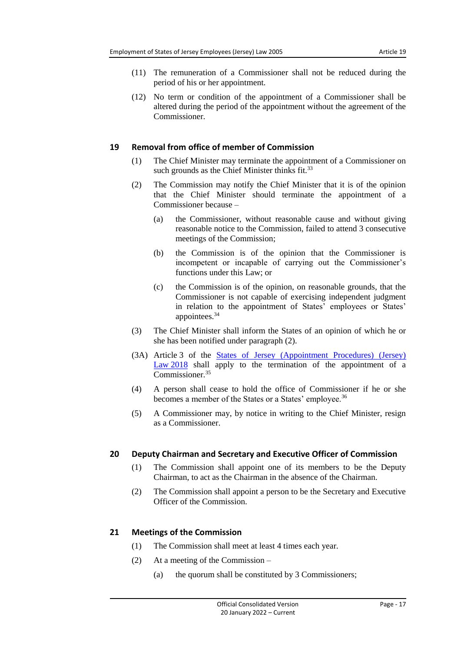- (11) The remuneration of a Commissioner shall not be reduced during the period of his or her appointment.
- (12) No term or condition of the appointment of a Commissioner shall be altered during the period of the appointment without the agreement of the Commissioner.

#### <span id="page-16-0"></span>**19 Removal from office of member of Commission**

- (1) The Chief Minister may terminate the appointment of a Commissioner on such grounds as the Chief Minister thinks fit.<sup>33</sup>
- (2) The Commission may notify the Chief Minister that it is of the opinion that the Chief Minister should terminate the appointment of a Commissioner because –
	- (a) the Commissioner, without reasonable cause and without giving reasonable notice to the Commission, failed to attend 3 consecutive meetings of the Commission;
	- (b) the Commission is of the opinion that the Commissioner is incompetent or incapable of carrying out the Commissioner's functions under this Law; or
	- (c) the Commission is of the opinion, on reasonable grounds, that the Commissioner is not capable of exercising independent judgment in relation to the appointment of States' employees or States' appointees. 34
- (3) The Chief Minister shall inform the States of an opinion of which he or she has been notified under paragraph (2).
- (3A) Article 3 of the [States of Jersey \(Appointment Procedures\) \(Jersey\)](https://www.jerseylaw.je/laws/current/Pages/16.810.aspx)  Law [2018](https://www.jerseylaw.je/laws/current/Pages/16.810.aspx) shall apply to the termination of the appointment of a Commissioner.<sup>35</sup>
- (4) A person shall cease to hold the office of Commissioner if he or she becomes a member of the States or a States' employee.<sup>36</sup>
- (5) A Commissioner may, by notice in writing to the Chief Minister, resign as a Commissioner.

# <span id="page-16-1"></span>**20 Deputy Chairman and Secretary and Executive Officer of Commission**

- (1) The Commission shall appoint one of its members to be the Deputy Chairman, to act as the Chairman in the absence of the Chairman.
- (2) The Commission shall appoint a person to be the Secretary and Executive Officer of the Commission.

# <span id="page-16-2"></span>**21 Meetings of the Commission**

- (1) The Commission shall meet at least 4 times each year.
- (2) At a meeting of the Commission
	- (a) the quorum shall be constituted by 3 Commissioners;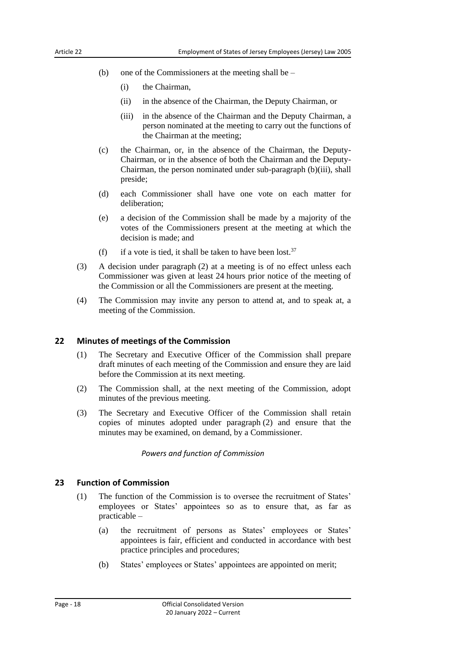- (b) one of the Commissioners at the meeting shall be
	- (i) the Chairman,
	- (ii) in the absence of the Chairman, the Deputy Chairman, or
	- (iii) in the absence of the Chairman and the Deputy Chairman, a person nominated at the meeting to carry out the functions of the Chairman at the meeting;
- (c) the Chairman, or, in the absence of the Chairman, the Deputy-Chairman, or in the absence of both the Chairman and the Deputy-Chairman, the person nominated under sub-paragraph (b)(iii), shall preside;
- (d) each Commissioner shall have one vote on each matter for deliberation;
- (e) a decision of the Commission shall be made by a majority of the votes of the Commissioners present at the meeting at which the decision is made; and
- (f) if a vote is tied, it shall be taken to have been lost.<sup>37</sup>
- (3) A decision under paragraph (2) at a meeting is of no effect unless each Commissioner was given at least 24 hours prior notice of the meeting of the Commission or all the Commissioners are present at the meeting.
- (4) The Commission may invite any person to attend at, and to speak at, a meeting of the Commission.

#### <span id="page-17-0"></span>**22 Minutes of meetings of the Commission**

- (1) The Secretary and Executive Officer of the Commission shall prepare draft minutes of each meeting of the Commission and ensure they are laid before the Commission at its next meeting.
- (2) The Commission shall, at the next meeting of the Commission, adopt minutes of the previous meeting.
- <span id="page-17-1"></span>(3) The Secretary and Executive Officer of the Commission shall retain copies of minutes adopted under paragraph (2) and ensure that the minutes may be examined, on demand, by a Commissioner.

*Powers and function of Commission*

#### <span id="page-17-2"></span>**23 Function of Commission**

- (1) The function of the Commission is to oversee the recruitment of States' employees or States' appointees so as to ensure that, as far as practicable –
	- (a) the recruitment of persons as States' employees or States' appointees is fair, efficient and conducted in accordance with best practice principles and procedures;
	- (b) States' employees or States' appointees are appointed on merit;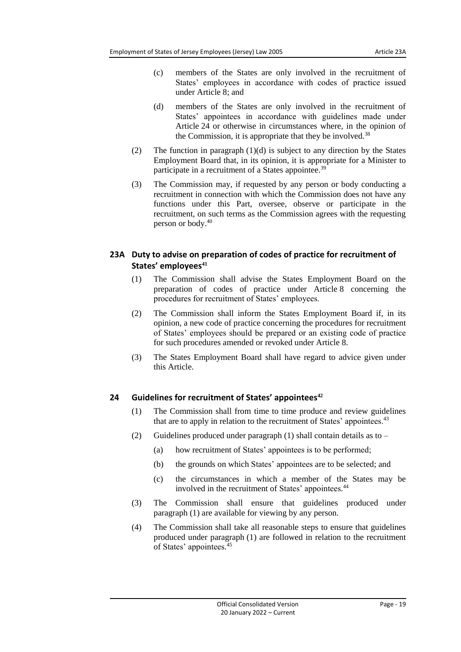- (c) members of the States are only involved in the recruitment of States' employees in accordance with codes of practice issued under Article 8; and
- (d) members of the States are only involved in the recruitment of States' appointees in accordance with guidelines made under Article 24 or otherwise in circumstances where, in the opinion of the Commission, it is appropriate that they be involved.<sup>38</sup>
- (2) The function in paragraph (1)(d) is subject to any direction by the States Employment Board that, in its opinion, it is appropriate for a Minister to participate in a recruitment of a States appointee.<sup>39</sup>
- (3) The Commission may, if requested by any person or body conducting a recruitment in connection with which the Commission does not have any functions under this Part, oversee, observe or participate in the recruitment, on such terms as the Commission agrees with the requesting person or body.<sup>40</sup>

# <span id="page-18-0"></span>**23A Duty to advise on preparation of codes of practice for recruitment of States' employees<sup>41</sup>**

- (1) The Commission shall advise the States Employment Board on the preparation of codes of practice under Article 8 concerning the procedures for recruitment of States' employees.
- (2) The Commission shall inform the States Employment Board if, in its opinion, a new code of practice concerning the procedures for recruitment of States' employees should be prepared or an existing code of practice for such procedures amended or revoked under Article 8.
- (3) The States Employment Board shall have regard to advice given under this Article.

# <span id="page-18-1"></span>**24 Guidelines for recruitment of States' appointees<sup>42</sup>**

- (1) The Commission shall from time to time produce and review guidelines that are to apply in relation to the recruitment of States' appointees.<sup>43</sup>
- (2) Guidelines produced under paragraph (1) shall contain details as to
	- (a) how recruitment of States' appointees is to be performed;
	- (b) the grounds on which States' appointees are to be selected; and
	- (c) the circumstances in which a member of the States may be involved in the recruitment of States' appointees.<sup>44</sup>
- (3) The Commission shall ensure that guidelines produced under paragraph (1) are available for viewing by any person.
- (4) The Commission shall take all reasonable steps to ensure that guidelines produced under paragraph (1) are followed in relation to the recruitment of States' appointees. 45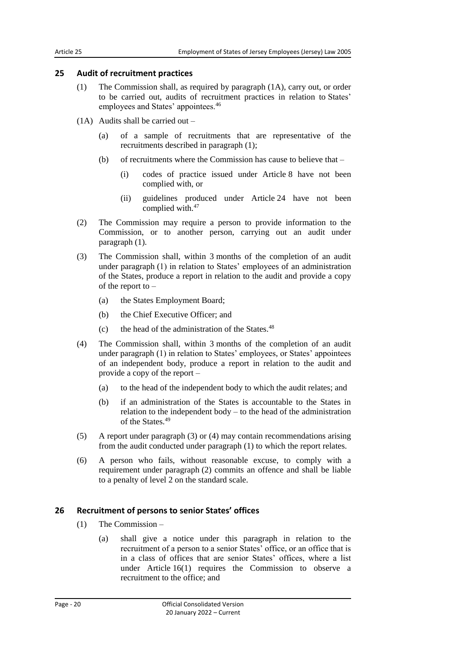#### <span id="page-19-0"></span>**25 Audit of recruitment practices**

- (1) The Commission shall, as required by paragraph (1A), carry out, or order to be carried out, audits of recruitment practices in relation to States' employees and States' appointees.<sup>46</sup>
- (1A) Audits shall be carried out
	- (a) of a sample of recruitments that are representative of the recruitments described in paragraph (1);
	- (b) of recruitments where the Commission has cause to believe that
		- (i) codes of practice issued under Article 8 have not been complied with, or
		- (ii) guidelines produced under Article 24 have not been complied with.<sup>47</sup>
- (2) The Commission may require a person to provide information to the Commission, or to another person, carrying out an audit under paragraph (1).
- (3) The Commission shall, within 3 months of the completion of an audit under paragraph (1) in relation to States' employees of an administration of the States, produce a report in relation to the audit and provide a copy of the report to  $-$ 
	- (a) the States Employment Board;
	- (b) the Chief Executive Officer; and
	- (c) the head of the administration of the States. $48$
- (4) The Commission shall, within 3 months of the completion of an audit under paragraph (1) in relation to States' employees, or States' appointees of an independent body, produce a report in relation to the audit and provide a copy of the report –
	- (a) to the head of the independent body to which the audit relates; and
	- (b) if an administration of the States is accountable to the States in relation to the independent body – to the head of the administration of the States.<sup>49</sup>
- (5) A report under paragraph (3) or (4) may contain recommendations arising from the audit conducted under paragraph (1) to which the report relates.
- (6) A person who fails, without reasonable excuse, to comply with a requirement under paragraph (2) commits an offence and shall be liable to a penalty of level 2 on the standard scale.

#### <span id="page-19-1"></span>**26 Recruitment of persons to senior States' offices**

- (1) The Commission
	- (a) shall give a notice under this paragraph in relation to the recruitment of a person to a senior States' office, or an office that is in a class of offices that are senior States' offices, where a list under Article 16(1) requires the Commission to observe a recruitment to the office; and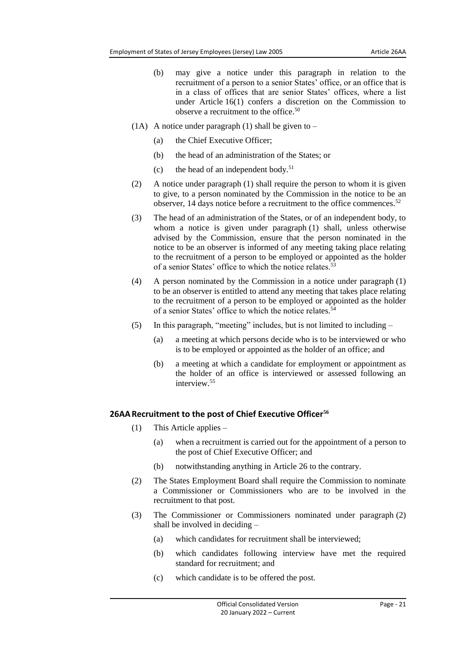- (b) may give a notice under this paragraph in relation to the recruitment of a person to a senior States' office, or an office that is in a class of offices that are senior States' offices, where a list under Article 16(1) confers a discretion on the Commission to observe a recruitment to the office.<sup>50</sup>
- (1A) A notice under paragraph (1) shall be given to  $-$ 
	- (a) the Chief Executive Officer;
	- (b) the head of an administration of the States; or
	- (c) the head of an independent body.<sup>51</sup>
- (2) A notice under paragraph (1) shall require the person to whom it is given to give, to a person nominated by the Commission in the notice to be an observer, 14 days notice before a recruitment to the office commences.<sup>52</sup>
- (3) The head of an administration of the States, or of an independent body, to whom a notice is given under paragraph (1) shall, unless otherwise advised by the Commission, ensure that the person nominated in the notice to be an observer is informed of any meeting taking place relating to the recruitment of a person to be employed or appointed as the holder of a senior States' office to which the notice relates.<sup>53</sup>
- (4) A person nominated by the Commission in a notice under paragraph (1) to be an observer is entitled to attend any meeting that takes place relating to the recruitment of a person to be employed or appointed as the holder of a senior States' office to which the notice relates.<sup>54</sup>
- (5) In this paragraph, "meeting" includes, but is not limited to including
	- (a) a meeting at which persons decide who is to be interviewed or who is to be employed or appointed as the holder of an office; and
	- (b) a meeting at which a candidate for employment or appointment as the holder of an office is interviewed or assessed following an interview<sup>55</sup>

# <span id="page-20-0"></span>**26AARecruitment to the post of Chief Executive Officer<sup>56</sup>**

- (1) This Article applies
	- (a) when a recruitment is carried out for the appointment of a person to the post of Chief Executive Officer; and
	- (b) notwithstanding anything in Article 26 to the contrary.
- (2) The States Employment Board shall require the Commission to nominate a Commissioner or Commissioners who are to be involved in the recruitment to that post.
- (3) The Commissioner or Commissioners nominated under paragraph (2) shall be involved in deciding –
	- (a) which candidates for recruitment shall be interviewed;
	- (b) which candidates following interview have met the required standard for recruitment; and
	- (c) which candidate is to be offered the post.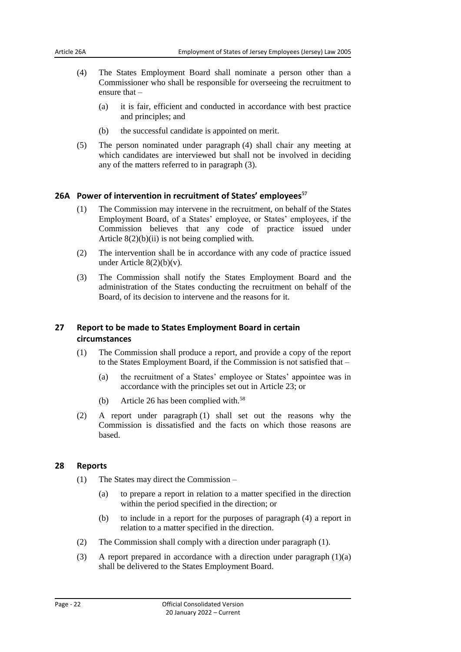- (4) The States Employment Board shall nominate a person other than a Commissioner who shall be responsible for overseeing the recruitment to ensure that –
	- (a) it is fair, efficient and conducted in accordance with best practice and principles; and
	- (b) the successful candidate is appointed on merit.
- (5) The person nominated under paragraph (4) shall chair any meeting at which candidates are interviewed but shall not be involved in deciding any of the matters referred to in paragraph (3).

#### <span id="page-21-0"></span>**26A Power of intervention in recruitment of States' employees<sup>57</sup>**

- (1) The Commission may intervene in the recruitment, on behalf of the States Employment Board, of a States' employee, or States' employees, if the Commission believes that any code of practice issued under Article 8(2)(b)(ii) is not being complied with.
- (2) The intervention shall be in accordance with any code of practice issued under Article 8(2)(b)(v).
- (3) The Commission shall notify the States Employment Board and the administration of the States conducting the recruitment on behalf of the Board, of its decision to intervene and the reasons for it.

# <span id="page-21-1"></span>**27 Report to be made to States Employment Board in certain circumstances**

- (1) The Commission shall produce a report, and provide a copy of the report to the States Employment Board, if the Commission is not satisfied that –
	- (a) the recruitment of a States' employee or States' appointee was in accordance with the principles set out in Article 23; or
	- (b) Article 26 has been complied with.<sup>58</sup>
- (2) A report under paragraph (1) shall set out the reasons why the Commission is dissatisfied and the facts on which those reasons are based.

#### <span id="page-21-2"></span>**28 Reports**

- (1) The States may direct the Commission
	- (a) to prepare a report in relation to a matter specified in the direction within the period specified in the direction; or
	- (b) to include in a report for the purposes of paragraph (4) a report in relation to a matter specified in the direction.
- (2) The Commission shall comply with a direction under paragraph (1).
- (3) A report prepared in accordance with a direction under paragraph (1)(a) shall be delivered to the States Employment Board.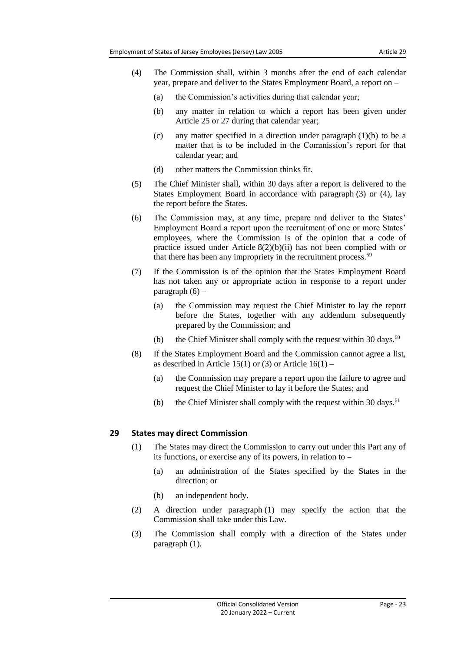- (4) The Commission shall, within 3 months after the end of each calendar year, prepare and deliver to the States Employment Board, a report on –
	- (a) the Commission's activities during that calendar year;
	- (b) any matter in relation to which a report has been given under Article 25 or 27 during that calendar year;
	- (c) any matter specified in a direction under paragraph (1)(b) to be a matter that is to be included in the Commission's report for that calendar year; and
	- (d) other matters the Commission thinks fit.
- (5) The Chief Minister shall, within 30 days after a report is delivered to the States Employment Board in accordance with paragraph (3) or (4), lay the report before the States.
- (6) The Commission may, at any time, prepare and deliver to the States' Employment Board a report upon the recruitment of one or more States' employees, where the Commission is of the opinion that a code of practice issued under Article 8(2)(b)(ii) has not been complied with or that there has been any impropriety in the recruitment process.<sup>59</sup>
- (7) If the Commission is of the opinion that the States Employment Board has not taken any or appropriate action in response to a report under paragraph  $(6)$  –
	- (a) the Commission may request the Chief Minister to lay the report before the States, together with any addendum subsequently prepared by the Commission; and
	- (b) the Chief Minister shall comply with the request within 30 days. $60$
- (8) If the States Employment Board and the Commission cannot agree a list, as described in Article 15(1) or (3) or Article  $16(1)$  –
	- (a) the Commission may prepare a report upon the failure to agree and request the Chief Minister to lay it before the States; and
	- (b) the Chief Minister shall comply with the request within 30 days. $61$

# <span id="page-22-0"></span>**29 States may direct Commission**

- (1) The States may direct the Commission to carry out under this Part any of its functions, or exercise any of its powers, in relation to –
	- (a) an administration of the States specified by the States in the direction; or
	- (b) an independent body.
- (2) A direction under paragraph (1) may specify the action that the Commission shall take under this Law.
- (3) The Commission shall comply with a direction of the States under paragraph (1).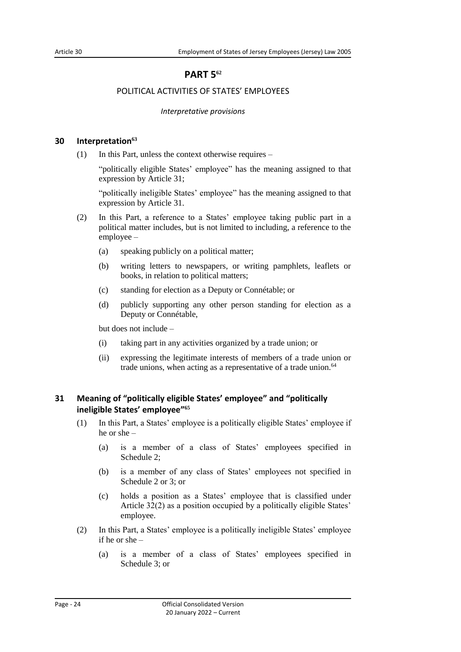# **PART 5<sup>62</sup>**

# <span id="page-23-0"></span>POLITICAL ACTIVITIES OF STATES' EMPLOYEES

#### *Interpretative provisions*

#### <span id="page-23-3"></span><span id="page-23-2"></span><span id="page-23-1"></span>**30 Interpretation<sup>63</sup>**

(1) In this Part, unless the context otherwise requires –

"politically eligible States' employee" has the meaning assigned to that expression by Article 31;

"politically ineligible States' employee" has the meaning assigned to that expression by Article 31.

- (2) In this Part, a reference to a States' employee taking public part in a political matter includes, but is not limited to including, a reference to the employee –
	- (a) speaking publicly on a political matter;
	- (b) writing letters to newspapers, or writing pamphlets, leaflets or books, in relation to political matters;
	- (c) standing for election as a Deputy or Connétable; or
	- (d) publicly supporting any other person standing for election as a Deputy or Connétable,

but does not include –

- (i) taking part in any activities organized by a trade union; or
- (ii) expressing the legitimate interests of members of a trade union or trade unions, when acting as a representative of a trade union.<sup>64</sup>

# <span id="page-23-4"></span>**31 Meaning of "politically eligible States' employee" and "politically ineligible States' employee" 65**

- (1) In this Part, a States' employee is a politically eligible States' employee if he or she –
	- (a) is a member of a class of States' employees specified in Schedule 2;
	- (b) is a member of any class of States' employees not specified in Schedule 2 or 3; or
	- (c) holds a position as a States' employee that is classified under Article 32(2) as a position occupied by a politically eligible States' employee.
- (2) In this Part, a States' employee is a politically ineligible States' employee if he or she –
	- (a) is a member of a class of States' employees specified in Schedule 3; or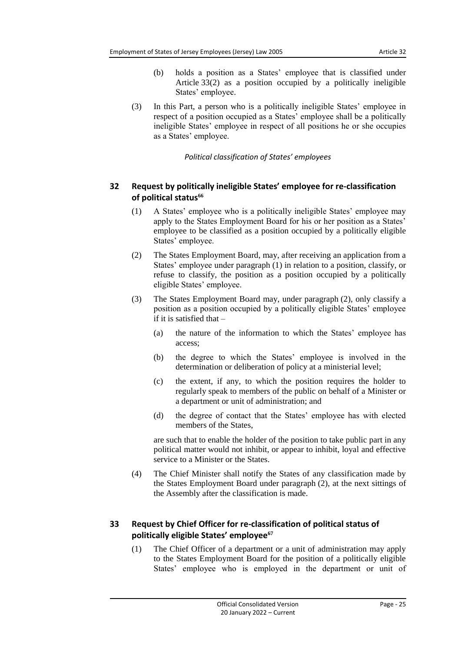- (b) holds a position as a States' employee that is classified under Article 33(2) as a position occupied by a politically ineligible States' employee.
- (3) In this Part, a person who is a politically ineligible States' employee in respect of a position occupied as a States' employee shall be a politically ineligible States' employee in respect of all positions he or she occupies as a States' employee.

# *Political classification of States' employees*

# <span id="page-24-1"></span><span id="page-24-0"></span>**32 Request by politically ineligible States' employee for re-classification of political status<sup>66</sup>**

- (1) A States' employee who is a politically ineligible States' employee may apply to the States Employment Board for his or her position as a States' employee to be classified as a position occupied by a politically eligible States' employee.
- (2) The States Employment Board, may, after receiving an application from a States' employee under paragraph (1) in relation to a position, classify, or refuse to classify, the position as a position occupied by a politically eligible States' employee.
- (3) The States Employment Board may, under paragraph (2), only classify a position as a position occupied by a politically eligible States' employee if it is satisfied that –
	- (a) the nature of the information to which the States' employee has access;
	- (b) the degree to which the States' employee is involved in the determination or deliberation of policy at a ministerial level;
	- (c) the extent, if any, to which the position requires the holder to regularly speak to members of the public on behalf of a Minister or a department or unit of administration; and
	- (d) the degree of contact that the States' employee has with elected members of the States,

are such that to enable the holder of the position to take public part in any political matter would not inhibit, or appear to inhibit, loyal and effective service to a Minister or the States.

(4) The Chief Minister shall notify the States of any classification made by the States Employment Board under paragraph (2), at the next sittings of the Assembly after the classification is made.

# <span id="page-24-2"></span>**33 Request by Chief Officer for re-classification of political status of politically eligible States' employee<sup>67</sup>**

(1) The Chief Officer of a department or a unit of administration may apply to the States Employment Board for the position of a politically eligible States' employee who is employed in the department or unit of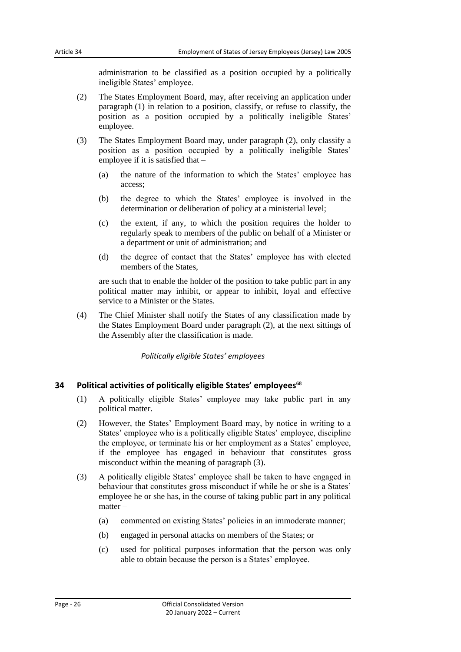administration to be classified as a position occupied by a politically ineligible States' employee.

- (2) The States Employment Board, may, after receiving an application under paragraph (1) in relation to a position, classify, or refuse to classify, the position as a position occupied by a politically ineligible States' employee.
- (3) The States Employment Board may, under paragraph (2), only classify a position as a position occupied by a politically ineligible States' employee if it is satisfied that –
	- (a) the nature of the information to which the States' employee has access;
	- (b) the degree to which the States' employee is involved in the determination or deliberation of policy at a ministerial level;
	- (c) the extent, if any, to which the position requires the holder to regularly speak to members of the public on behalf of a Minister or a department or unit of administration; and
	- (d) the degree of contact that the States' employee has with elected members of the States,

are such that to enable the holder of the position to take public part in any political matter may inhibit, or appear to inhibit, loyal and effective service to a Minister or the States.

<span id="page-25-0"></span>(4) The Chief Minister shall notify the States of any classification made by the States Employment Board under paragraph (2), at the next sittings of the Assembly after the classification is made.

#### *Politically eligible States' employees*

# <span id="page-25-1"></span>**34 Political activities of politically eligible States' employees<sup>68</sup>**

- (1) A politically eligible States' employee may take public part in any political matter.
- (2) However, the States' Employment Board may, by notice in writing to a States' employee who is a politically eligible States' employee, discipline the employee, or terminate his or her employment as a States' employee, if the employee has engaged in behaviour that constitutes gross misconduct within the meaning of paragraph (3).
- (3) A politically eligible States' employee shall be taken to have engaged in behaviour that constitutes gross misconduct if while he or she is a States' employee he or she has, in the course of taking public part in any political matter –
	- (a) commented on existing States' policies in an immoderate manner;
	- (b) engaged in personal attacks on members of the States; or
	- (c) used for political purposes information that the person was only able to obtain because the person is a States' employee.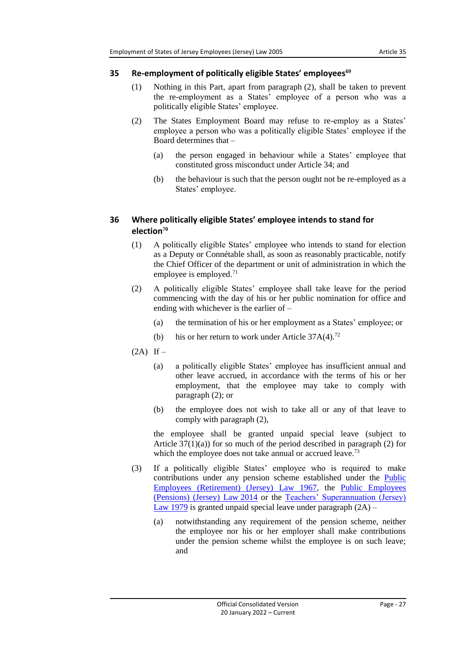# <span id="page-26-0"></span>**35 Re-employment of politically eligible States' employees<sup>69</sup>**

- (1) Nothing in this Part, apart from paragraph (2), shall be taken to prevent the re-employment as a States' employee of a person who was a politically eligible States' employee.
- (2) The States Employment Board may refuse to re-employ as a States' employee a person who was a politically eligible States' employee if the Board determines that –
	- (a) the person engaged in behaviour while a States' employee that constituted gross misconduct under Article 34; and
	- (b) the behaviour is such that the person ought not be re-employed as a States' employee.

# <span id="page-26-1"></span>**36 Where politically eligible States' employee intends to stand for election<sup>70</sup>**

- (1) A politically eligible States' employee who intends to stand for election as a Deputy or Connétable shall, as soon as reasonably practicable, notify the Chief Officer of the department or unit of administration in which the employee is employed. $71$
- (2) A politically eligible States' employee shall take leave for the period commencing with the day of his or her public nomination for office and ending with whichever is the earlier of –
	- (a) the termination of his or her employment as a States' employee; or
	- (b) his or her return to work under Article  $37A(4)$ <sup>72</sup>
- $(2A)$  If
	- (a) a politically eligible States' employee has insufficient annual and other leave accrued, in accordance with the terms of his or her employment, that the employee may take to comply with paragraph (2); or
	- (b) the employee does not wish to take all or any of that leave to comply with paragraph (2),

the employee shall be granted unpaid special leave (subject to Article  $37(1)(a)$  for so much of the period described in paragraph (2) for which the employee does not take annual or accrued leave.<sup>73</sup>

- (3) If a politically eligible States' employee who is required to make contributions under any pension scheme established under the **Public** [Employees \(Retirement\) \(Jersey\)](https://www.jerseylaw.je/laws/current/Pages/16.650.aspx) Law 1967, the [Public Employees](https://www.jerseylaw.je/laws/current/Pages/16.640.aspx)  [\(Pensions\) \(Jersey\) Law](https://www.jerseylaw.je/laws/current/Pages/16.640.aspx) 2014 or the [Teachers' Superannuation \(Jersey\)](https://www.jerseylaw.je/laws/current/Pages/16.850.aspx)  [Law 1979](https://www.jerseylaw.je/laws/current/Pages/16.850.aspx) is granted unpaid special leave under paragraph  $(2A)$  –
	- (a) notwithstanding any requirement of the pension scheme, neither the employee nor his or her employer shall make contributions under the pension scheme whilst the employee is on such leave; and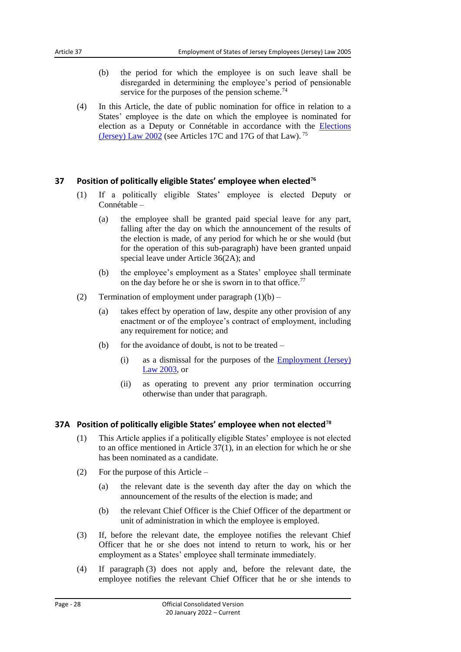- (b) the period for which the employee is on such leave shall be disregarded in determining the employee's period of pensionable service for the purposes of the pension scheme.<sup>74</sup>
- (4) In this Article, the date of public nomination for office in relation to a States' employee is the date on which the employee is nominated for election as a Deputy or Connétable in accordance with the [Elections](https://www.jerseylaw.je/laws/current/Pages/16.600.aspx)  [\(Jersey\) Law](https://www.jerseylaw.je/laws/current/Pages/16.600.aspx) 2002 (see Articles 17C and 17G of that Law). <sup>75</sup>

# <span id="page-27-0"></span>**37 Position of politically eligible States' employee when elected<sup>76</sup>**

- (1) If a politically eligible States' employee is elected Deputy or Connétable –
	- (a) the employee shall be granted paid special leave for any part, falling after the day on which the announcement of the results of the election is made, of any period for which he or she would (but for the operation of this sub-paragraph) have been granted unpaid special leave under Article 36(2A); and
	- (b) the employee's employment as a States' employee shall terminate on the day before he or she is sworn in to that office.<sup>77</sup>
- (2) Termination of employment under paragraph  $(1)(b)$ 
	- (a) takes effect by operation of law, despite any other provision of any enactment or of the employee's contract of employment, including any requirement for notice; and
	- (b) for the avoidance of doubt, is not to be treated  $-$ 
		- (i) as a dismissal for the purposes of the [Employment \(Jersey\)](https://www.jerseylaw.je/laws/current/Pages/05.255.aspx)  Law [2003,](https://www.jerseylaw.je/laws/current/Pages/05.255.aspx) or
		- (ii) as operating to prevent any prior termination occurring otherwise than under that paragraph.

# <span id="page-27-1"></span>**37A Position of politically eligible States' employee when not elected<sup>78</sup>**

- (1) This Article applies if a politically eligible States' employee is not elected to an office mentioned in Article 37(1), in an election for which he or she has been nominated as a candidate.
- (2) For the purpose of this Article
	- (a) the relevant date is the seventh day after the day on which the announcement of the results of the election is made; and
	- (b) the relevant Chief Officer is the Chief Officer of the department or unit of administration in which the employee is employed.
- (3) If, before the relevant date, the employee notifies the relevant Chief Officer that he or she does not intend to return to work, his or her employment as a States' employee shall terminate immediately.
- (4) If paragraph (3) does not apply and, before the relevant date, the employee notifies the relevant Chief Officer that he or she intends to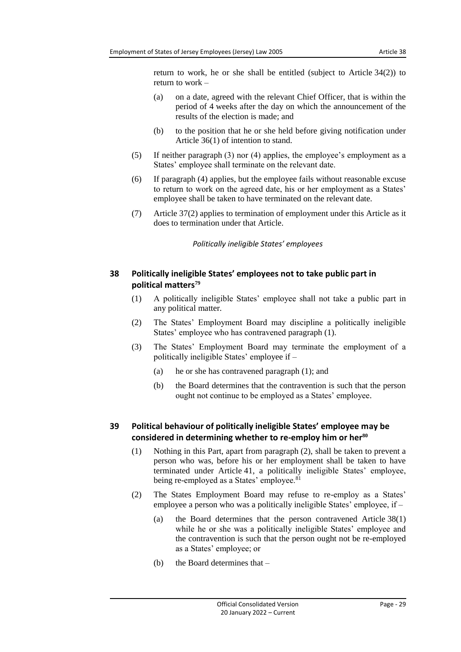return to work, he or she shall be entitled (subject to Article 34(2)) to return to work –

- (a) on a date, agreed with the relevant Chief Officer, that is within the period of 4 weeks after the day on which the announcement of the results of the election is made; and
- (b) to the position that he or she held before giving notification under Article 36(1) of intention to stand.
- (5) If neither paragraph (3) nor (4) applies, the employee's employment as a States' employee shall terminate on the relevant date.
- (6) If paragraph (4) applies, but the employee fails without reasonable excuse to return to work on the agreed date, his or her employment as a States' employee shall be taken to have terminated on the relevant date.
- <span id="page-28-0"></span>(7) Article 37(2) applies to termination of employment under this Article as it does to termination under that Article.

*Politically ineligible States' employees*

# <span id="page-28-1"></span>**38 Politically ineligible States' employees not to take public part in political matters<sup>79</sup>**

- (1) A politically ineligible States' employee shall not take a public part in any political matter.
- (2) The States' Employment Board may discipline a politically ineligible States' employee who has contravened paragraph (1).
- (3) The States' Employment Board may terminate the employment of a politically ineligible States' employee if –
	- (a) he or she has contravened paragraph (1); and
	- (b) the Board determines that the contravention is such that the person ought not continue to be employed as a States' employee.

# <span id="page-28-2"></span>**39 Political behaviour of politically ineligible States' employee may be considered in determining whether to re-employ him or her<sup>80</sup>**

- (1) Nothing in this Part, apart from paragraph (2), shall be taken to prevent a person who was, before his or her employment shall be taken to have terminated under Article 41, a politically ineligible States' employee, being re-employed as a States' employee.<sup>81</sup>
- (2) The States Employment Board may refuse to re-employ as a States' employee a person who was a politically ineligible States' employee, if –
	- (a) the Board determines that the person contravened Article 38(1) while he or she was a politically ineligible States' employee and the contravention is such that the person ought not be re-employed as a States' employee; or
	- (b) the Board determines that –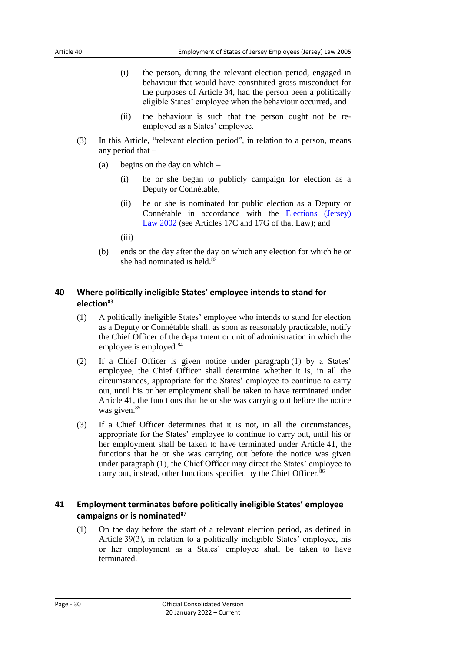- (i) the person, during the relevant election period, engaged in behaviour that would have constituted gross misconduct for the purposes of Article 34, had the person been a politically eligible States' employee when the behaviour occurred, and
- (ii) the behaviour is such that the person ought not be reemployed as a States' employee.
- (3) In this Article, "relevant election period", in relation to a person, means any period that –
	- (a) begins on the day on which
		- (i) he or she began to publicly campaign for election as a Deputy or Connétable,
		- (ii) he or she is nominated for public election as a Deputy or Connétable in accordance with the [Elections \(Jersey\)](https://www.jerseylaw.je/laws/current/Pages/16.600.aspx)  Law [2002](https://www.jerseylaw.je/laws/current/Pages/16.600.aspx) (see Articles 17C and 17G of that Law); and
		- $(iii)$
	- (b) ends on the day after the day on which any election for which he or she had nominated is held.<sup>82</sup>

# <span id="page-29-0"></span>**40 Where politically ineligible States' employee intends to stand for election<sup>83</sup>**

- (1) A politically ineligible States' employee who intends to stand for election as a Deputy or Connétable shall, as soon as reasonably practicable, notify the Chief Officer of the department or unit of administration in which the employee is employed.<sup>84</sup>
- (2) If a Chief Officer is given notice under paragraph (1) by a States' employee, the Chief Officer shall determine whether it is, in all the circumstances, appropriate for the States' employee to continue to carry out, until his or her employment shall be taken to have terminated under Article 41, the functions that he or she was carrying out before the notice was given.<sup>85</sup>
- (3) If a Chief Officer determines that it is not, in all the circumstances, appropriate for the States' employee to continue to carry out, until his or her employment shall be taken to have terminated under Article 41, the functions that he or she was carrying out before the notice was given under paragraph (1), the Chief Officer may direct the States' employee to carry out, instead, other functions specified by the Chief Officer.<sup>86</sup>

# <span id="page-29-1"></span>**41 Employment terminates before politically ineligible States' employee campaigns or is nominated<sup>87</sup>**

(1) On the day before the start of a relevant election period, as defined in Article 39(3), in relation to a politically ineligible States' employee, his or her employment as a States' employee shall be taken to have terminated.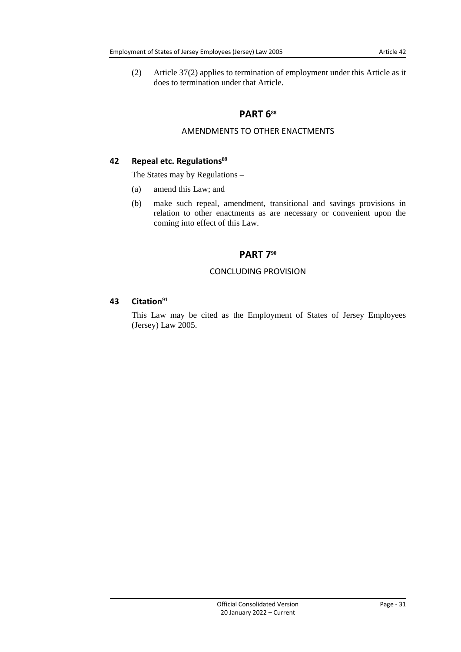<span id="page-30-0"></span>(2) Article 37(2) applies to termination of employment under this Article as it does to termination under that Article.

# **PART 6<sup>88</sup>**

# AMENDMENTS TO OTHER ENACTMENTS

# <span id="page-30-2"></span><span id="page-30-1"></span>**42 Repeal etc. Regulations<sup>89</sup>**

The States may by Regulations –

- (a) amend this Law; and
- <span id="page-30-3"></span>(b) make such repeal, amendment, transitional and savings provisions in relation to other enactments as are necessary or convenient upon the coming into effect of this Law.

# **PART 7<sup>90</sup>**

#### CONCLUDING PROVISION

# <span id="page-30-5"></span><span id="page-30-4"></span>**43 Citation<sup>91</sup>**

This Law may be cited as the Employment of States of Jersey Employees (Jersey) Law 2005.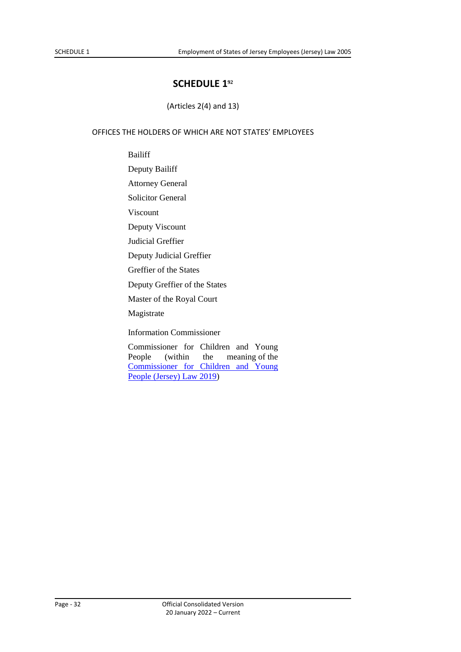# **SCHEDULE 1<sup>92</sup>**

(Articles 2(4) and 13)

# <span id="page-31-0"></span>OFFICES THE HOLDERS OF WHICH ARE NOT STATES' EMPLOYEES

Bailiff

Deputy Bailiff

Attorney General

Solicitor General

Viscount

Deputy Viscount

Judicial Greffier

Deputy Judicial Greffier

Greffier of the States

Deputy Greffier of the States

Master of the Royal Court

Magistrate

Information Commissioner

Commissioner for Children and Young People (within the meaning of the [Commissioner for Children and Young](https://www.jerseylaw.je/laws/current/Pages/12.280.aspx)  [People \(Jersey\) Law](https://www.jerseylaw.je/laws/current/Pages/12.280.aspx) 2019)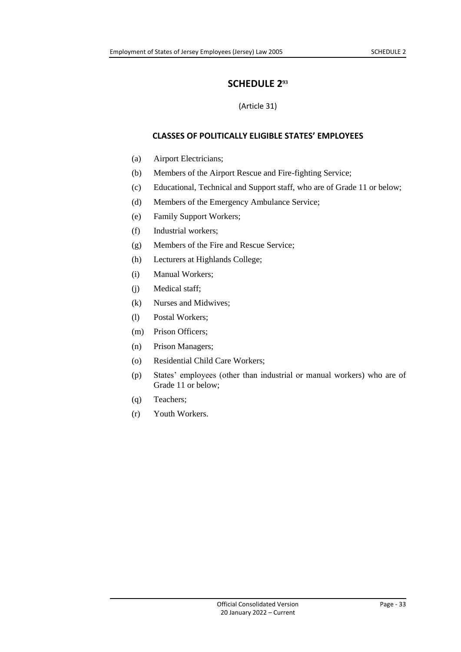# **SCHEDULE 2<sup>93</sup>**

# (Article 31)

# <span id="page-32-0"></span>**CLASSES OF POLITICALLY ELIGIBLE STATES' EMPLOYEES**

- <span id="page-32-1"></span>(a) Airport Electricians;
- (b) Members of the Airport Rescue and Fire-fighting Service;
- (c) Educational, Technical and Support staff, who are of Grade 11 or below;
- (d) Members of the Emergency Ambulance Service;
- (e) Family Support Workers;
- (f) Industrial workers;
- (g) Members of the Fire and Rescue Service;
- (h) Lecturers at Highlands College;
- (i) Manual Workers;
- (j) Medical staff;
- (k) Nurses and Midwives;
- (l) Postal Workers;
- (m) Prison Officers;
- (n) Prison Managers;
- (o) Residential Child Care Workers;
- (p) States' employees (other than industrial or manual workers) who are of Grade 11 or below;
- (q) Teachers;
- (r) Youth Workers.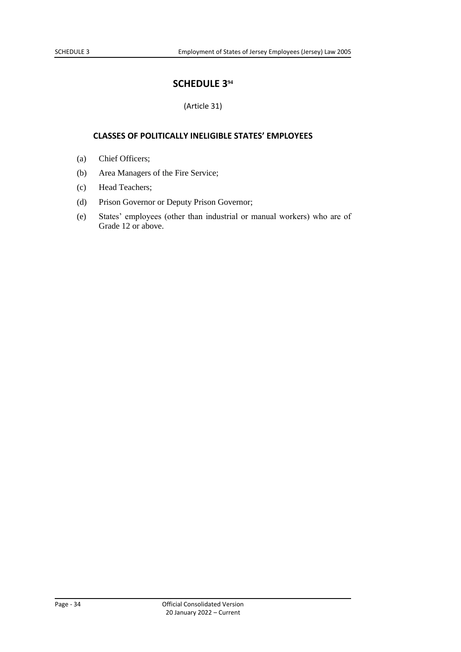# **SCHEDULE 3<sup>94</sup>**

# (Article 31)

#### <span id="page-33-0"></span>**CLASSES OF POLITICALLY INELIGIBLE STATES' EMPLOYEES**

- <span id="page-33-1"></span>(a) Chief Officers;
- (b) Area Managers of the Fire Service;
- (c) Head Teachers;
- (d) Prison Governor or Deputy Prison Governor;
- (e) States' employees (other than industrial or manual workers) who are of Grade 12 or above.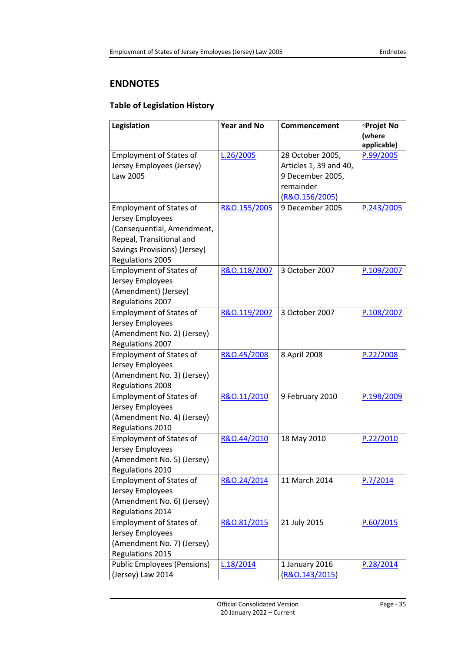# <span id="page-34-2"></span><span id="page-34-0"></span>**ENDNOTES**

# <span id="page-34-1"></span>**Table of Legislation History**

| Legislation                        | <b>Year and No</b> | Commencement           | ∘Projet No  |
|------------------------------------|--------------------|------------------------|-------------|
|                                    |                    |                        | (where      |
|                                    |                    |                        | applicable) |
| <b>Employment of States of</b>     | L.26/2005          | 28 October 2005,       | P.99/2005   |
| Jersey Employees (Jersey)          |                    | Articles 1, 39 and 40, |             |
| Law 2005                           |                    | 9 December 2005,       |             |
|                                    |                    | remainder              |             |
|                                    |                    | (R&0.156/2005)         |             |
| <b>Employment of States of</b>     | R&O.155/2005       | 9 December 2005        | P.243/2005  |
| Jersey Employees                   |                    |                        |             |
| (Consequential, Amendment,         |                    |                        |             |
| Repeal, Transitional and           |                    |                        |             |
| Savings Provisions) (Jersey)       |                    |                        |             |
| Regulations 2005                   |                    |                        |             |
| <b>Employment of States of</b>     | R&O.118/2007       | 3 October 2007         | P.109/2007  |
| Jersey Employees                   |                    |                        |             |
| (Amendment) (Jersey)               |                    |                        |             |
| Regulations 2007                   |                    |                        |             |
| <b>Employment of States of</b>     | R&O.119/2007       | 3 October 2007         | P.108/2007  |
| Jersey Employees                   |                    |                        |             |
| (Amendment No. 2) (Jersey)         |                    |                        |             |
| Regulations 2007                   |                    |                        |             |
| <b>Employment of States of</b>     | R&O.45/2008        | 8 April 2008           | P.22/2008   |
| Jersey Employees                   |                    |                        |             |
| (Amendment No. 3) (Jersey)         |                    |                        |             |
| <b>Regulations 2008</b>            |                    |                        |             |
| <b>Employment of States of</b>     | R&O.11/2010        | 9 February 2010        | P.198/2009  |
| Jersey Employees                   |                    |                        |             |
| (Amendment No. 4) (Jersey)         |                    |                        |             |
| Regulations 2010                   |                    |                        |             |
| <b>Employment of States of</b>     | R&O.44/2010        | 18 May 2010            | P.22/2010   |
| Jersey Employees                   |                    |                        |             |
| (Amendment No. 5) (Jersey)         |                    |                        |             |
| Regulations 2010                   |                    |                        |             |
| <b>Employment of States of</b>     | R&O.24/2014        | 11 March 2014          | P.7/2014    |
| Jersey Employees                   |                    |                        |             |
| (Amendment No. 6) (Jersey)         |                    |                        |             |
| Regulations 2014                   |                    |                        |             |
| <b>Employment of States of</b>     | R&O.81/2015        | 21 July 2015           | P.60/2015   |
| Jersey Employees                   |                    |                        |             |
| (Amendment No. 7) (Jersey)         |                    |                        |             |
| Regulations 2015                   |                    |                        |             |
| <b>Public Employees (Pensions)</b> | L.18/2014          | 1 January 2016         | P.28/2014   |
| (Jersey) Law 2014                  |                    | (R&0.143/2015)         |             |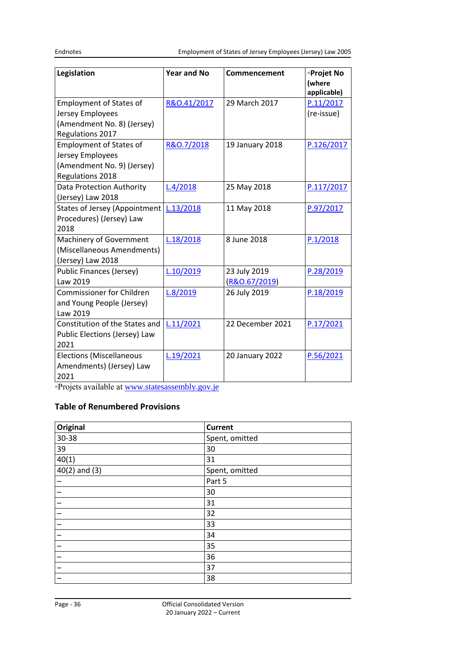| Legislation                               | <b>Year and No</b> | Commencement     | <b>·Projet No</b><br>(where<br>applicable) |
|-------------------------------------------|--------------------|------------------|--------------------------------------------|
| <b>Employment of States of</b>            | R&O.41/2017        | 29 March 2017    | P.11/2017                                  |
| Jersey Employees                          |                    |                  | (re-issue)                                 |
| (Amendment No. 8) (Jersey)                |                    |                  |                                            |
| Regulations 2017                          |                    |                  |                                            |
| <b>Employment of States of</b>            | R&O.7/2018         | 19 January 2018  | P.126/2017                                 |
| Jersey Employees                          |                    |                  |                                            |
| (Amendment No. 9) (Jersey)                |                    |                  |                                            |
| Regulations 2018                          |                    |                  |                                            |
| Data Protection Authority                 | L.4/2018           | 25 May 2018      | P.117/2017                                 |
| (Jersey) Law 2018                         |                    |                  |                                            |
| States of Jersey (Appointment   L.13/2018 |                    | 11 May 2018      | P.97/2017                                  |
| Procedures) (Jersey) Law                  |                    |                  |                                            |
| 2018                                      |                    |                  |                                            |
| Machinery of Government                   | L.18/2018          | 8 June 2018      | P.1/2018                                   |
| (Miscellaneous Amendments)                |                    |                  |                                            |
| (Jersey) Law 2018                         |                    |                  |                                            |
| Public Finances (Jersey)                  | L.10/2019          | 23 July 2019     | P.28/2019                                  |
| Law 2019                                  |                    | (R&O.67/2019)    |                                            |
| <b>Commissioner for Children</b>          | L.8/2019           | 26 July 2019     | P.18/2019                                  |
| and Young People (Jersey)                 |                    |                  |                                            |
| Law 2019                                  |                    |                  |                                            |
| Constitution of the States and            | L.11/2021          | 22 December 2021 | P.17/2021                                  |
| Public Elections (Jersey) Law             |                    |                  |                                            |
| 2021                                      |                    |                  |                                            |
| <b>Elections (Miscellaneous</b>           | L.19/2021          | 20 January 2022  | P.56/2021                                  |
| Amendments) (Jersey) Law                  |                    |                  |                                            |
| 2021                                      |                    |                  |                                            |

<span id="page-35-0"></span>◦Projets available at [www.statesassembly.gov.je](http://www.statesassembly.gov.je/)

# **Table of Renumbered Provisions**

| Original          | <b>Current</b> |
|-------------------|----------------|
| 30-38             | Spent, omitted |
| 39                | 30             |
| 40(1)             | 31             |
| $40(2)$ and $(3)$ | Spent, omitted |
|                   | Part 5         |
|                   | 30             |
|                   | 31             |
|                   | 32             |
|                   | 33             |
|                   | 34             |
|                   | 35             |
|                   | 36             |
|                   | 37             |
|                   | 38             |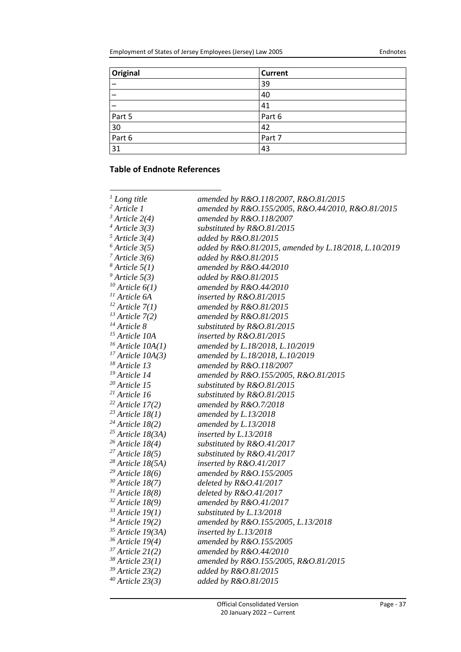| <b>Original</b> | <b>Current</b> |
|-----------------|----------------|
|                 | 39             |
|                 | 40             |
|                 | 41             |
| Part 5          | Part 6         |
| 30              | 42             |
| Part 6          | Part 7         |
| 31              | 43             |

# <span id="page-36-0"></span>**Table of Endnote References**

| $\frac{1}{2}$ Long title     | amended by R&O.118/2007, R&O.81/2015                  |
|------------------------------|-------------------------------------------------------|
| $2$ Article 1                | amended by R&O.155/2005, R&O.44/2010, R&O.81/2015     |
| $3$ Article 2(4)             | amended by R&O.118/2007                               |
| $4$ Article 3(3)             | substituted by R&O.81/2015                            |
| $5$ Article 3(4)             | added by R&O.81/2015                                  |
| $6$ Article 3(5)             | added by R&O.81/2015, amended by L.18/2018, L.10/2019 |
| $7$ Article 3(6)             | added by R&O.81/2015                                  |
| $\delta$ Article 5(1)        | amended by $R&O.44/2010$                              |
| $9$ Article 5(3)             | added by R&O.81/2015                                  |
| $10$ Article $6(1)$          | amended by R&O.44/2010                                |
| <sup>11</sup> Article 6A     | inserted by R&O.81/2015                               |
| $12$ Article 7(1)            | amended by R&O.81/2015                                |
| $13$ Article 7(2)            | amended by R&O.81/2015                                |
| $14$ Article 8               | substituted by R&O.81/2015                            |
| <sup>15</sup> Article 10A    | inserted by R&O.81/2015                               |
| $16$ Article $10A(1)$        | amended by L.18/2018, L.10/2019                       |
| $17$ Article 10A(3)          | amended by L.18/2018, L.10/2019                       |
| $18$ Article 13              | amended by R&O.118/2007                               |
| <sup>19</sup> Article 14     | amended by R&O.155/2005, R&O.81/2015                  |
| $20$ Article 15              | substituted by $R&O.81/2015$                          |
| $21$ Article 16              | substituted by R&O.81/2015                            |
| $22$ Article 17(2)           | amended by R&O.7/2018                                 |
| $23$ Article 18(1)           | amended by L.13/2018                                  |
| $24$ Article 18(2)           | amended by L.13/2018                                  |
| $25$ Article 18(3A)          | inserted by L.13/2018                                 |
| $26$ Article 18(4)           | substituted by R&O.41/2017                            |
| $27$ Article 18(5)           | substituted by R&O.41/2017                            |
| $28$ Article 18(5A)          | inserted by R&O.41/2017                               |
| $29$ Article 18(6)           | amended by R&O.155/2005                               |
| $30$ Article 18(7)           | deleted by $R&O.41/2017$                              |
| $31$ Article 18(8)           | deleted by $R&O.41/2017$                              |
| $32$ Article 18(9)           | amended by $R&O.41/2017$                              |
| $33$ Article 19(1)           | substituted by L.13/2018                              |
| $34$ Article 19(2)           | amended by R&O.155/2005, L.13/2018                    |
| <sup>35</sup> Article 19(3A) | inserted by L.13/2018                                 |
| $36$ Article 19(4)           | amended by R&O.155/2005                               |
| $37$ Article 21(2)           | amended by $R&O.44/2010$                              |
| $38$ Article 23(1)           | amended by R&O.155/2005, R&O.81/2015                  |
| $39$ Article 23(2)           | added by R&O.81/2015                                  |
| $40$ Article 23(3)           | added by R&O.81/2015                                  |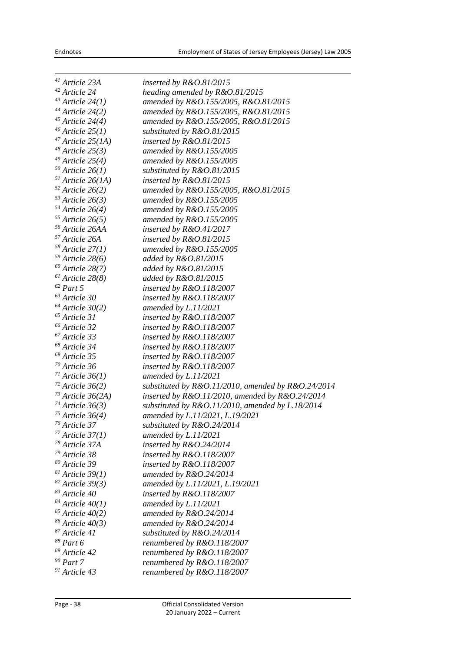| $41$ Article 23A           | inserted by $R&O.81/2015$                            |
|----------------------------|------------------------------------------------------|
| <sup>42</sup> Article 24   | heading amended by $R&O.81/2015$                     |
| $43$ Article 24(1)         | amended by R&O.155/2005, R&O.81/2015                 |
| $^{44}$ Article 24(2)      | amended by R&O.155/2005, R&O.81/2015                 |
| $45$ Article 24(4)         | amended by R&O.155/2005, R&O.81/2015                 |
| $46$ Article 25(1)         | substituted by R&O.81/2015                           |
| $47$ Article 25(1A)        | inserted by $R&O.81/2015$                            |
| $48$ Article 25(3)         | amended by $R&O.155/2005$                            |
| $49$ Article 25(4)         | amended by $R&O.155/2005$                            |
| $50$ Article 26(1)         | substituted by R&O.81/2015                           |
| $51$ Article 26(1A)        | inserted by R&O.81/2015                              |
| $52$ Article 26(2)         | amended by R&O.155/2005, R&O.81/2015                 |
| $53$ Article 26(3)         | amended by $R&O.155/2005$                            |
| $54$ Article 26(4)         | amended by $R&O.155/2005$                            |
| $55$ Article 26(5)         | amended by $R&O.155/2005$                            |
| <sup>56</sup> Article 26AA | inserted by $R&O.41/2017$                            |
| <sup>57</sup> Article 26A  | inserted by $R&O.81/2015$                            |
| $58$ Article 27(1)         | amended by R&O.155/2005                              |
| $59$ Article 28(6)         | added by R&O.81/2015                                 |
| $60$ Article 28(7)         | added by R&O.81/2015                                 |
| $61$ Article 28(8)         | added by R&O.81/2015                                 |
| $^{62}$ Part 5 $\,$        | inserted by $R&O.118/2007$                           |
| $^{63}$ Article $30\,$     | inserted by $R&O.118/2007$                           |
| $^{64}$ Article 30(2)      | amended by $L.11/2021$                               |
| $65$ Article 31            | inserted by R&O.118/2007                             |
| <sup>66</sup> Article 32   |                                                      |
| <sup>67</sup> Article 33   | inserted by $R&O.118/2007$                           |
| <sup>68</sup> Article 34   | inserted by R&O.118/2007                             |
| <sup>69</sup> Article 35   | inserted by $R&O.118/2007$                           |
| $70$ Article 36            | inserted by $R&O.118/2007$                           |
|                            | inserted by $R&O.118/2007$                           |
| $71$ Article 36(1)         | amended by $L.11/2021$                               |
| $72$ Article 36(2)         | substituted by R&O.11/2010, amended by R&O.24/2014   |
| $73$ Article 36(2A)        | inserted by $R&O.11/2010$ , amended by $R&O.24/2014$ |
| $74$ Article 36(3)         | substituted by R&O.11/2010, amended by L.18/2014     |
| $75$ Article 36(4)         | amended by L.11/2021, L.19/2021                      |
| <sup>76</sup> Article 37   | substituted by R&O.24/2014                           |
| $77$ Article 37(1)         | amended by L.11/2021                                 |
| <sup>78</sup> Article 37A  | inserted by R&O.24/2014                              |
| <sup>79</sup> Article 38   | inserted by R&O.118/2007                             |
| <sup>80</sup> Article 39   | inserted by R&O.118/2007                             |
| $81$ Article 39(1)         | amended by $R&O.24/2014$                             |
| $82$ Article 39(3)         | amended by L.11/2021, L.19/2021                      |
| 83 Article 40              | inserted by R&O.118/2007                             |
| $84$ Article $40(1)$       | amended by $L.11/2021$                               |
| $85$ Article 40(2)         | amended by $R&O.24/2014$                             |
| $86$ Article 40(3)         | amended by $R&O.24/2014$                             |
| <sup>87</sup> Article 41   | substituted by R&O.24/2014                           |
| <sup>88</sup> Part 6       | renumbered by $R&O.118/2007$                         |
| <sup>89</sup> Article 42   | renumbered by R&O.118/2007                           |
| $90$ Part 7                | renumbered by R&O.118/2007                           |
| <sup>91</sup> Article 43   | renumbered by R&O.118/2007                           |